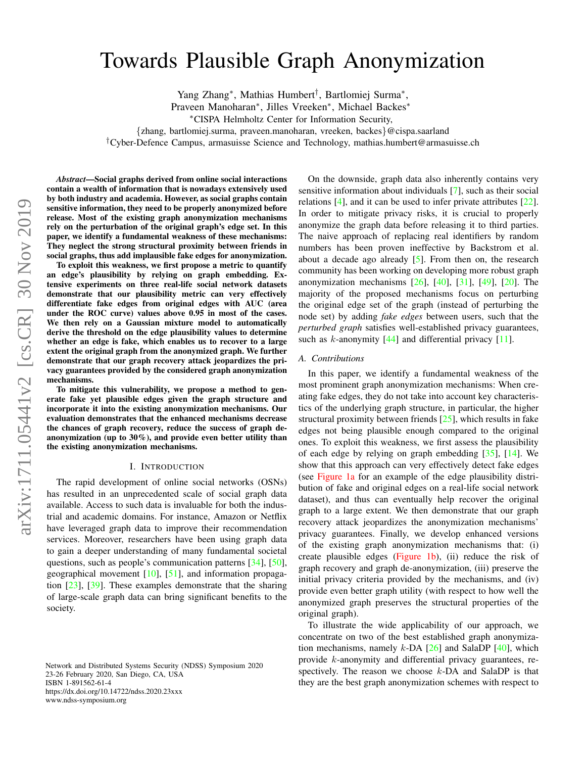# <span id="page-0-0"></span>Towards Plausible Graph Anonymization

Yang Zhang<sup>∗</sup> , Mathias Humbert† , Bartlomiej Surma<sup>∗</sup> ,

Praveen Manoharan<sup>∗</sup> , Jilles Vreeken<sup>∗</sup> , Michael Backes<sup>∗</sup>

<sup>∗</sup>CISPA Helmholtz Center for Information Security,

{zhang, bartlomiej.surma, praveen.manoharan, vreeken, backes}@cispa.saarland

†Cyber-Defence Campus, armasuisse Science and Technology, mathias.humbert@armasuisse.ch

*Abstract*—Social graphs derived from online social interactions contain a wealth of information that is nowadays extensively used by both industry and academia. However, as social graphs contain sensitive information, they need to be properly anonymized before release. Most of the existing graph anonymization mechanisms rely on the perturbation of the original graph's edge set. In this paper, we identify a fundamental weakness of these mechanisms: They neglect the strong structural proximity between friends in social graphs, thus add implausible fake edges for anonymization.

To exploit this weakness, we first propose a metric to quantify an edge's plausibility by relying on graph embedding. Extensive experiments on three real-life social network datasets demonstrate that our plausibility metric can very effectively differentiate fake edges from original edges with AUC (area under the ROC curve) values above 0.95 in most of the cases. We then rely on a Gaussian mixture model to automatically derive the threshold on the edge plausibility values to determine whether an edge is fake, which enables us to recover to a large extent the original graph from the anonymized graph. We further demonstrate that our graph recovery attack jeopardizes the privacy guarantees provided by the considered graph anonymization mechanisms.

To mitigate this vulnerability, we propose a method to generate fake yet plausible edges given the graph structure and incorporate it into the existing anonymization mechanisms. Our evaluation demonstrates that the enhanced mechanisms decrease the chances of graph recovery, reduce the success of graph deanonymization (up to 30%), and provide even better utility than the existing anonymization mechanisms.

#### I. INTRODUCTION

The rapid development of online social networks (OSNs) has resulted in an unprecedented scale of social graph data available. Access to such data is invaluable for both the industrial and academic domains. For instance, Amazon or Netflix have leveraged graph data to improve their recommendation services. Moreover, researchers have been using graph data to gain a deeper understanding of many fundamental societal questions, such as people's communication patterns [\[34\]](#page-13-0), [\[50\]](#page-14-0), geographical movement  $[10]$ ,  $[51]$ , and information propagation [\[23\]](#page-13-2), [\[39\]](#page-14-2). These examples demonstrate that the sharing of large-scale graph data can bring significant benefits to the society.

On the downside, graph data also inherently contains very sensitive information about individuals [\[7\]](#page-13-3), such as their social relations [\[4\]](#page-13-4), and it can be used to infer private attributes [\[22\]](#page-13-5). In order to mitigate privacy risks, it is crucial to properly anonymize the graph data before releasing it to third parties. The naive approach of replacing real identifiers by random numbers has been proven ineffective by Backstrom et al. about a decade ago already  $[5]$ . From then on, the research community has been working on developing more robust graph anonymization mechanisms [\[26\]](#page-13-7), [\[40\]](#page-14-3), [\[31\]](#page-13-8), [\[49\]](#page-14-4), [\[20\]](#page-13-9). The majority of the proposed mechanisms focus on perturbing the original edge set of the graph (instead of perturbing the node set) by adding *fake edges* between users, such that the *perturbed graph* satisfies well-established privacy guarantees, such as  $k$ -anonymity  $[44]$  and differential privacy  $[11]$ .

## *A. Contributions*

In this paper, we identify a fundamental weakness of the most prominent graph anonymization mechanisms: When creating fake edges, they do not take into account key characteristics of the underlying graph structure, in particular, the higher structural proximity between friends [\[25\]](#page-13-11), which results in fake edges not being plausible enough compared to the original ones. To exploit this weakness, we first assess the plausibility of each edge by relying on graph embedding [\[35\]](#page-13-12), [\[14\]](#page-13-13). We show that this approach can very effectively detect fake edges (see [Figure 1a](#page-1-0) for an example of the edge plausibility distribution of fake and original edges on a real-life social network dataset), and thus can eventually help recover the original graph to a large extent. We then demonstrate that our graph recovery attack jeopardizes the anonymization mechanisms' privacy guarantees. Finally, we develop enhanced versions of the existing graph anonymization mechanisms that: (i) create plausible edges [\(Figure 1b\)](#page-1-0), (ii) reduce the risk of graph recovery and graph de-anonymization, (iii) preserve the initial privacy criteria provided by the mechanisms, and (iv) provide even better graph utility (with respect to how well the anonymized graph preserves the structural properties of the original graph).

To illustrate the wide applicability of our approach, we concentrate on two of the best established graph anonymization mechanisms, namely  $k$ -DA  $[26]$  and SalaDP  $[40]$ , which provide k-anonymity and differential privacy guarantees, respectively. The reason we choose  $k$ -DA and SalaDP is that they are the best graph anonymization schemes with respect to

Network and Distributed Systems Security (NDSS) Symposium 2020 23-26 February 2020, San Diego, CA, USA ISBN 1-891562-61-4 https://dx.doi.org/10.14722/ndss.2020.23xxx www.ndss-symposium.org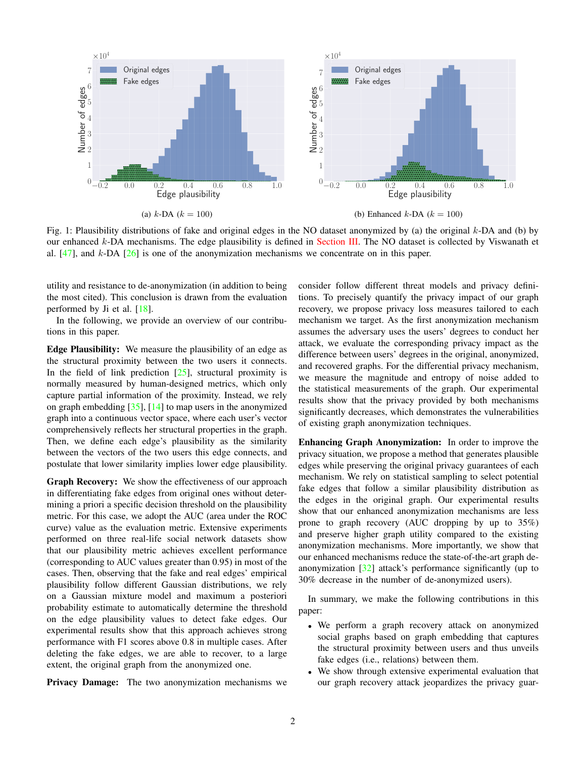<span id="page-1-1"></span><span id="page-1-0"></span>

Fig. 1: Plausibility distributions of fake and original edges in the NO dataset anonymized by (a) the original  $k$ -DA and (b) by our enhanced k-DA mechanisms. The edge plausibility is defined in [Section III.](#page-3-0) The NO dataset is collected by Viswanath et al.  $[47]$ , and k-DA  $[26]$  is one of the anonymization mechanisms we concentrate on in this paper.

utility and resistance to de-anonymization (in addition to being the most cited). This conclusion is drawn from the evaluation performed by Ji et al. [\[18\]](#page-13-14).

In the following, we provide an overview of our contributions in this paper.

Edge Plausibility: We measure the plausibility of an edge as the structural proximity between the two users it connects. In the field of link prediction  $[25]$ , structural proximity is normally measured by human-designed metrics, which only capture partial information of the proximity. Instead, we rely on graph embedding [\[35\]](#page-13-12), [\[14\]](#page-13-13) to map users in the anonymized graph into a continuous vector space, where each user's vector comprehensively reflects her structural properties in the graph. Then, we define each edge's plausibility as the similarity between the vectors of the two users this edge connects, and postulate that lower similarity implies lower edge plausibility.

Graph Recovery: We show the effectiveness of our approach in differentiating fake edges from original ones without determining a priori a specific decision threshold on the plausibility metric. For this case, we adopt the AUC (area under the ROC curve) value as the evaluation metric. Extensive experiments performed on three real-life social network datasets show that our plausibility metric achieves excellent performance (corresponding to AUC values greater than 0.95) in most of the cases. Then, observing that the fake and real edges' empirical plausibility follow different Gaussian distributions, we rely on a Gaussian mixture model and maximum a posteriori probability estimate to automatically determine the threshold on the edge plausibility values to detect fake edges. Our experimental results show that this approach achieves strong performance with F1 scores above 0.8 in multiple cases. After deleting the fake edges, we are able to recover, to a large extent, the original graph from the anonymized one.

Privacy Damage: The two anonymization mechanisms we

consider follow different threat models and privacy definitions. To precisely quantify the privacy impact of our graph recovery, we propose privacy loss measures tailored to each mechanism we target. As the first anonymization mechanism assumes the adversary uses the users' degrees to conduct her attack, we evaluate the corresponding privacy impact as the difference between users' degrees in the original, anonymized, and recovered graphs. For the differential privacy mechanism, we measure the magnitude and entropy of noise added to the statistical measurements of the graph. Our experimental results show that the privacy provided by both mechanisms significantly decreases, which demonstrates the vulnerabilities of existing graph anonymization techniques.

Enhancing Graph Anonymization: In order to improve the privacy situation, we propose a method that generates plausible edges while preserving the original privacy guarantees of each mechanism. We rely on statistical sampling to select potential fake edges that follow a similar plausibility distribution as the edges in the original graph. Our experimental results show that our enhanced anonymization mechanisms are less prone to graph recovery (AUC dropping by up to 35%) and preserve higher graph utility compared to the existing anonymization mechanisms. More importantly, we show that our enhanced mechanisms reduce the state-of-the-art graph deanonymization [\[32\]](#page-13-15) attack's performance significantly (up to 30% decrease in the number of de-anonymized users).

In summary, we make the following contributions in this paper:

- We perform a graph recovery attack on anonymized social graphs based on graph embedding that captures the structural proximity between users and thus unveils fake edges (i.e., relations) between them.
- We show through extensive experimental evaluation that our graph recovery attack jeopardizes the privacy guar-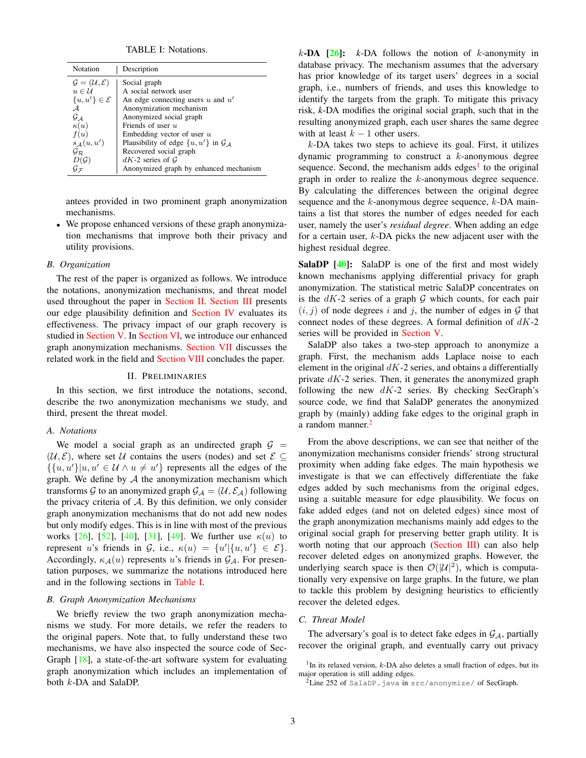TABLE I: Notations.

<span id="page-2-4"></span><span id="page-2-1"></span>

| Notation                                   | Description                                         |
|--------------------------------------------|-----------------------------------------------------|
| $\mathcal{G} = (\mathcal{U}, \mathcal{E})$ | Social graph                                        |
| $u \in \mathcal{U}$                        | A social network user                               |
| $\{u, u'\} \in \mathcal{E}$                | An edge connecting users $u$ and $u'$               |
| $\mathcal A$                               | Anonymization mechanism                             |
| $G_A$                                      | Anonymized social graph                             |
| $\kappa(u)$                                | Friends of user $u$                                 |
| f(u)                                       | Embedding vector of user $u$                        |
| $s_A(u, u')$                               | Plausibility of edge $\{u, u'\}$ in $\mathcal{G}_A$ |
| $\mathcal{G}_{\mathcal{R}}$                | Recovered social graph                              |
| $D(\mathcal{G})$                           | $dK-2$ series of G                                  |
| Gτ                                         | Anonymized graph by enhanced mechanism              |

antees provided in two prominent graph anonymization mechanisms.

• We propose enhanced versions of these graph anonymization mechanisms that improve both their privacy and utility provisions.

#### *B. Organization*

The rest of the paper is organized as follows. We introduce the notations, anonymization mechanisms, and threat model used throughout the paper in [Section II.](#page-2-0) [Section III](#page-3-0) presents our edge plausibility definition and [Section IV](#page-4-0) evaluates its effectiveness. The privacy impact of our graph recovery is studied in [Section V.](#page-8-0) In [Section VI,](#page-9-0) we introduce our enhanced graph anonymization mechanisms. [Section VII](#page-12-0) discusses the related work in the field and [Section VIII](#page-12-1) concludes the paper.

#### II. PRELIMINARIES

<span id="page-2-0"></span>In this section, we first introduce the notations, second, describe the two anonymization mechanisms we study, and third, present the threat model.

#### *A. Notations*

We model a social graph as an undirected graph  $G =$  $(\mathcal{U}, \mathcal{E})$ , where set U contains the users (nodes) and set  $\mathcal{E} \subseteq$  $\{\{u, u'\}| u, u' \in \mathcal{U} \land u \neq u'\}$  represents all the edges of the graph. We define by  $A$  the anonymization mechanism which transforms G to an anonymized graph  $\mathcal{G}_A = (\mathcal{U}, \mathcal{E}_A)$  following the privacy criteria of  $A$ . By this definition, we only consider graph anonymization mechanisms that do not add new nodes but only modify edges. This is in line with most of the previous works [\[26\]](#page-13-7), [\[52\]](#page-14-7), [\[40\]](#page-14-3), [\[31\]](#page-13-8), [\[49\]](#page-14-4). We further use  $\kappa(u)$  to represent u's friends in G, i.e.,  $\kappa(u) = \{u' | \{u, u'\} \in \mathcal{E}\}.$ Accordingly,  $\kappa_{\mathcal{A}}(u)$  represents u's friends in  $\mathcal{G}_{\mathcal{A}}$ . For presentation purposes, we summarize the notations introduced here and in the following sections in [Table I.](#page-2-1)

#### *B. Graph Anonymization Mechanisms*

We briefly review the two graph anonymization mechanisms we study. For more details, we refer the readers to the original papers. Note that, to fully understand these two mechanisms, we have also inspected the source code of Sec-Graph [\[18\]](#page-13-14), a state-of-the-art software system for evaluating graph anonymization which includes an implementation of both k-DA and SalaDP.

 $k$ -DA  $[26]$ :  $k$ -DA follows the notion of  $k$ -anonymity in database privacy. The mechanism assumes that the adversary has prior knowledge of its target users' degrees in a social graph, i.e., numbers of friends, and uses this knowledge to identify the targets from the graph. To mitigate this privacy risk, *k*-DA modifies the original social graph, such that in the resulting anonymized graph, each user shares the same degree with at least  $k - 1$  other users.

k-DA takes two steps to achieve its goal. First, it utilizes dynamic programming to construct a  $k$ -anonymous degree sequence. Second, the mechanism adds edges<sup>[1](#page-2-2)</sup> to the original graph in order to realize the k-anonymous degree sequence. By calculating the differences between the original degree sequence and the  $k$ -anonymous degree sequence,  $k$ -DA maintains a list that stores the number of edges needed for each user, namely the user's *residual degree*. When adding an edge for a certain user, k-DA picks the new adjacent user with the highest residual degree.

**SalaDP** [\[40\]](#page-14-3): SalaDP is one of the first and most widely known mechanisms applying differential privacy for graph anonymization. The statistical metric SalaDP concentrates on is the  $dK-2$  series of a graph  $G$  which counts, for each pair  $(i, j)$  of node degrees i and j, the number of edges in  $G$  that connect nodes of these degrees. A formal definition of  $dK-2$ series will be provided in [Section V.](#page-8-0)

SalaDP also takes a two-step approach to anonymize a graph. First, the mechanism adds Laplace noise to each element in the original  $dK-2$  series, and obtains a differentially private  $dK-2$  series. Then, it generates the anonymized graph following the new  $dK-2$  series. By checking SecGraph's source code, we find that SalaDP generates the anonymized graph by (mainly) adding fake edges to the original graph in a random manner.<sup>[2](#page-2-3)</sup>

From the above descriptions, we can see that neither of the anonymization mechanisms consider friends' strong structural proximity when adding fake edges. The main hypothesis we investigate is that we can effectively differentiate the fake edges added by such mechanisms from the original edges, using a suitable measure for edge plausibility. We focus on fake added edges (and not on deleted edges) since most of the graph anonymization mechanisms mainly add edges to the original social graph for preserving better graph utility. It is worth noting that our approach [\(Section III\)](#page-3-0) can also help recover deleted edges on anonymized graphs. However, the underlying search space is then  $O(|U|^2)$ , which is computationally very expensive on large graphs. In the future, we plan to tackle this problem by designing heuristics to efficiently recover the deleted edges.

#### *C. Threat Model*

The adversary's goal is to detect fake edges in  $G_A$ , partially recover the original graph, and eventually carry out privacy

<span id="page-2-2"></span><sup>&</sup>lt;sup>1</sup>In its relaxed version,  $k$ -DA also deletes a small fraction of edges, but its major operation is still adding edges.

<span id="page-2-3"></span> $2$ Line 252 of SalaDP. java in src/anonymize/ of SecGraph.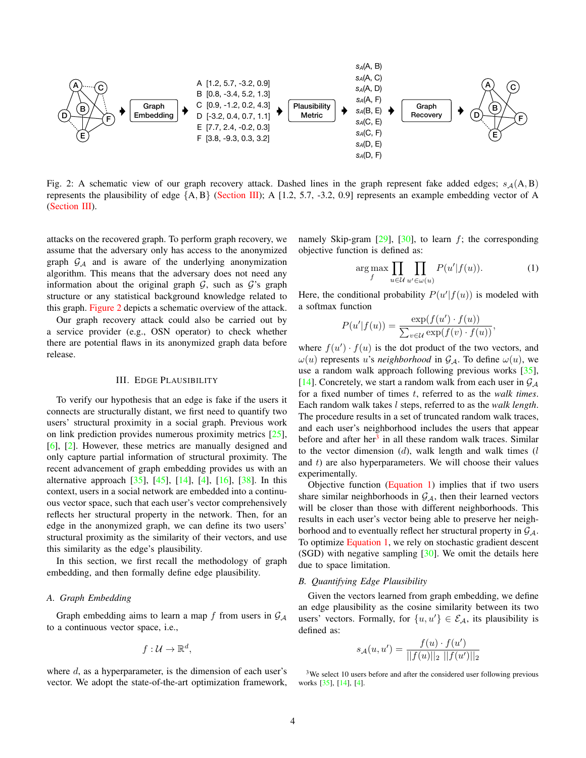<span id="page-3-4"></span><span id="page-3-1"></span>

Fig. 2: A schematic view of our graph recovery attack. Dashed lines in the graph represent fake added edges;  $s_A(A, B)$ represents the plausibility of edge  ${A, B}$  [\(Section III\)](#page-3-0); A [1.2, 5.7, -3.2, 0.9] represents an example embedding vector of A [\(Section III\)](#page-3-0).

attacks on the recovered graph. To perform graph recovery, we assume that the adversary only has access to the anonymized graph  $G_A$  and is aware of the underlying anonymization algorithm. This means that the adversary does not need any information about the original graph  $G$ , such as  $G$ 's graph structure or any statistical background knowledge related to this graph. [Figure 2](#page-3-1) depicts a schematic overview of the attack.

Our graph recovery attack could also be carried out by a service provider (e.g., OSN operator) to check whether there are potential flaws in its anonymized graph data before release.

## III. EDGE PLAUSIBILITY

<span id="page-3-0"></span>To verify our hypothesis that an edge is fake if the users it connects are structurally distant, we first need to quantify two users' structural proximity in a social graph. Previous work on link prediction provides numerous proximity metrics [\[25\]](#page-13-11), [\[6\]](#page-13-16), [\[2\]](#page-13-17). However, these metrics are manually designed and only capture partial information of structural proximity. The recent advancement of graph embedding provides us with an alternative approach [\[35\]](#page-13-12), [\[45\]](#page-14-8), [\[14\]](#page-13-13), [\[4\]](#page-13-4), [\[16\]](#page-13-18), [\[38\]](#page-14-9). In this context, users in a social network are embedded into a continuous vector space, such that each user's vector comprehensively reflects her structural property in the network. Then, for an edge in the anonymized graph, we can define its two users' structural proximity as the similarity of their vectors, and use this similarity as the edge's plausibility.

In this section, we first recall the methodology of graph embedding, and then formally define edge plausibility.

# *A. Graph Embedding*

Graph embedding aims to learn a map f from users in  $\mathcal{G}_{\mathcal{A}}$ to a continuous vector space, i.e.,

$$
f:\mathcal{U}\to\mathbb{R}^d,
$$

where  $d$ , as a hyperparameter, is the dimension of each user's vector. We adopt the state-of-the-art optimization framework, namely Skip-gram  $[29]$ ,  $[30]$ , to learn f; the corresponding objective function is defined as:

<span id="page-3-3"></span>
$$
\underset{f}{\arg\max} \prod_{u \in \mathcal{U}} \prod_{u' \in \omega(u)} P(u'|f(u)). \tag{1}
$$

Here, the conditional probability  $P(u'|f(u))$  is modeled with a softmax function

$$
P(u'|f(u)) = \frac{\exp(f(u') \cdot f(u))}{\sum_{v \in \mathcal{U}} \exp(f(v) \cdot f(u))},
$$

where  $f(u') \cdot f(u)$  is the dot product of the two vectors, and  $\omega(u)$  represents u's *neighborhood* in  $\mathcal{G}_{\mathcal{A}}$ . To define  $\omega(u)$ , we use a random walk approach following previous works [\[35\]](#page-13-12), [\[14\]](#page-13-13). Concretely, we start a random walk from each user in  $\mathcal{G}_{\mathcal{A}}$ for a fixed number of times t, referred to as the *walk times*. Each random walk takes l steps, referred to as the *walk length*. The procedure results in a set of truncated random walk traces, and each user's neighborhood includes the users that appear before and after her<sup>[3](#page-3-2)</sup> in all these random walk traces. Similar to the vector dimension  $(d)$ , walk length and walk times  $(l)$ and  $t$ ) are also hyperparameters. We will choose their values experimentally.

Objective function [\(Equation 1\)](#page-3-3) implies that if two users share similar neighborhoods in  $G_A$ , then their learned vectors will be closer than those with different neighborhoods. This results in each user's vector being able to preserve her neighborhood and to eventually reflect her structural property in  $\mathcal{G}_{\mathcal{A}}$ . To optimize [Equation 1,](#page-3-3) we rely on stochastic gradient descent (SGD) with negative sampling  $[30]$ . We omit the details here due to space limitation.

#### *B. Quantifying Edge Plausibility*

Given the vectors learned from graph embedding, we define an edge plausibility as the cosine similarity between its two users' vectors. Formally, for  $\{u, u'\} \in \mathcal{E}_{\mathcal{A}}$ , its plausibility is defined as:

$$
s_{\mathcal{A}}(u, u') = \frac{f(u) \cdot f(u')}{||f(u)||_2 ||f(u')||_2}
$$

<span id="page-3-2"></span><sup>3</sup>We select 10 users before and after the considered user following previous works [\[35\]](#page-13-12), [\[14\]](#page-13-13), [\[4\]](#page-13-4).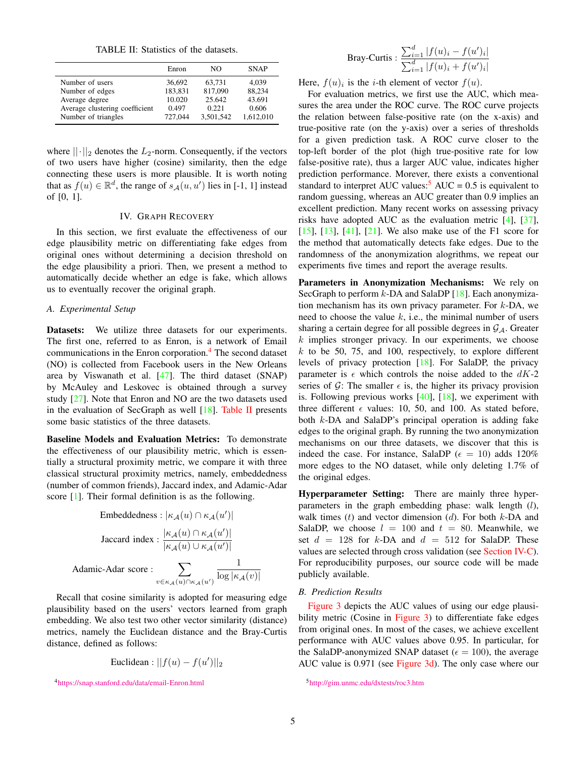TABLE II: Statistics of the datasets.

<span id="page-4-4"></span><span id="page-4-2"></span>

|                                | Enron   | NΟ        | <b>SNAP</b> |
|--------------------------------|---------|-----------|-------------|
| Number of users                | 36.692  | 63.731    | 4,039       |
| Number of edges                | 183,831 | 817,090   | 88.234      |
| Average degree                 | 10.020  | 25.642    | 43.691      |
| Average clustering coefficient | 0.497   | 0.221     | 0.606       |
| Number of triangles            | 727,044 | 3.501.542 | 1.612.010   |

where  $||\cdot||_2$  denotes the  $L_2$ -norm. Consequently, if the vectors of two users have higher (cosine) similarity, then the edge connecting these users is more plausible. It is worth noting that as  $f(u) \in \mathbb{R}^d$ , the range of  $s_{\mathcal{A}}(u, u')$  lies in [-1, 1] instead of [0, 1].

# IV. GRAPH RECOVERY

<span id="page-4-0"></span>In this section, we first evaluate the effectiveness of our edge plausibility metric on differentiating fake edges from original ones without determining a decision threshold on the edge plausibility a priori. Then, we present a method to automatically decide whether an edge is fake, which allows us to eventually recover the original graph.

#### *A. Experimental Setup*

Datasets: We utilize three datasets for our experiments. The first one, referred to as Enron, is a network of Email communications in the Enron corporation.[4](#page-4-1) The second dataset (NO) is collected from Facebook users in the New Orleans area by Viswanath et al. [\[47\]](#page-14-6). The third dataset (SNAP) by McAuley and Leskovec is obtained through a survey study [\[27\]](#page-13-21). Note that Enron and NO are the two datasets used in the evaluation of SecGraph as well [\[18\]](#page-13-14). [Table II](#page-4-2) presents some basic statistics of the three datasets.

Baseline Models and Evaluation Metrics: To demonstrate the effectiveness of our plausibility metric, which is essentially a structural proximity metric, we compare it with three classical structural proximity metrics, namely, embeddedness (number of common friends), Jaccard index, and Adamic-Adar score [\[1\]](#page-13-22). Their formal definition is as the following.

$$
\begin{aligned} &\text{Embeddedness}: |\kappa_{\mathcal{A}}(u) \cap \kappa_{\mathcal{A}}(u')| \\ &\text{Jaccard index}: \frac{|\kappa_{\mathcal{A}}(u) \cap \kappa_{\mathcal{A}}(u')|}{|\kappa_{\mathcal{A}}(u) \cup \kappa_{\mathcal{A}}(u')|} \\ &\text{Adamic-Adar score}: \sum_{v \in \kappa_{\mathcal{A}}(u) \cap \kappa_{\mathcal{A}}(u')} \frac{1}{\log |\kappa_{\mathcal{A}}(v)|} \end{aligned}
$$

Recall that cosine similarity is adopted for measuring edge plausibility based on the users' vectors learned from graph embedding. We also test two other vector similarity (distance) metrics, namely the Euclidean distance and the Bray-Curtis distance, defined as follows:

Euclidean: 
$$
||f(u) - f(u')||_2
$$

Bray-Curtis: 
$$
\frac{\sum_{i=1}^{d} |f(u)_i - f(u')_i|}{\sum_{i=1}^{d} |f(u)_i + f(u')_i|}
$$

Here,  $f(u)_i$  is the *i*-th element of vector  $f(u)$ .

For evaluation metrics, we first use the AUC, which measures the area under the ROC curve. The ROC curve projects the relation between false-positive rate (on the x-axis) and true-positive rate (on the y-axis) over a series of thresholds for a given prediction task. A ROC curve closer to the top-left border of the plot (high true-positive rate for low false-positive rate), thus a larger AUC value, indicates higher prediction performance. Morever, there exists a conventional standard to interpret AUC values:<sup>[5](#page-4-3)</sup> AUC =  $0.5$  is equivalent to random guessing, whereas an AUC greater than 0.9 implies an excellent prediction. Many recent works on assessing privacy risks have adopted AUC as the evaluation metric [\[4\]](#page-13-4), [\[37\]](#page-14-10), [\[15\]](#page-13-23), [\[13\]](#page-13-24), [\[41\]](#page-14-11), [\[21\]](#page-13-25). We also make use of the F1 score for the method that automatically detects fake edges. Due to the randomness of the anonymization alogrithms, we repeat our experiments five times and report the average results.

Parameters in Anonymization Mechanisms: We rely on SecGraph to perform  $k$ -DA and SalaDP [\[18\]](#page-13-14). Each anonymization mechanism has its own privacy parameter. For  $k$ -DA, we need to choose the value  $k$ , i.e., the minimal number of users sharing a certain degree for all possible degrees in  $\mathcal{G}_A$ . Greater  $k$  implies stronger privacy. In our experiments, we choose  $k$  to be 50, 75, and 100, respectively, to explore different levels of privacy protection [\[18\]](#page-13-14). For SalaDP, the privacy parameter is  $\epsilon$  which controls the noise added to the dK-2 series of G: The smaller  $\epsilon$  is, the higher its privacy provision is. Following previous works [\[40\]](#page-14-3), [\[18\]](#page-13-14), we experiment with three different  $\epsilon$  values: 10, 50, and 100. As stated before, both k-DA and SalaDP's principal operation is adding fake edges to the original graph. By running the two anonymization mechanisms on our three datasets, we discover that this is indeed the case. For instance, SalaDP ( $\epsilon = 10$ ) adds 120% more edges to the NO dataset, while only deleting 1.7% of the original edges.

Hyperparameter Setting: There are mainly three hyperparameters in the graph embedding phase: walk length  $(l)$ , walk times  $(t)$  and vector dimension  $(d)$ . For both  $k$ -DA and SalaDP, we choose  $l = 100$  and  $t = 80$ . Meanwhile, we set  $d = 128$  for k-DA and  $d = 512$  for SalaDP. These values are selected through cross validation (see [Section IV-C\)](#page-5-0). For reproducibility purposes, our source code will be made publicly available.

## *B. Prediction Results*

[Figure 3](#page-5-1) depicts the AUC values of using our edge plausi-bility metric (Cosine in [Figure 3\)](#page-5-1) to differentiate fake edges from original ones. In most of the cases, we achieve excellent performance with AUC values above 0.95. In particular, for the SalaDP-anonymized SNAP dataset ( $\epsilon = 100$ ), the average AUC value is 0.971 (see [Figure 3d\)](#page-5-1). The only case where our

<span id="page-4-1"></span><sup>4</sup><https://snap.stanford.edu/data/email-Enron.html>

<span id="page-4-3"></span><sup>5</sup><http://gim.unmc.edu/dxtests/roc3.htm>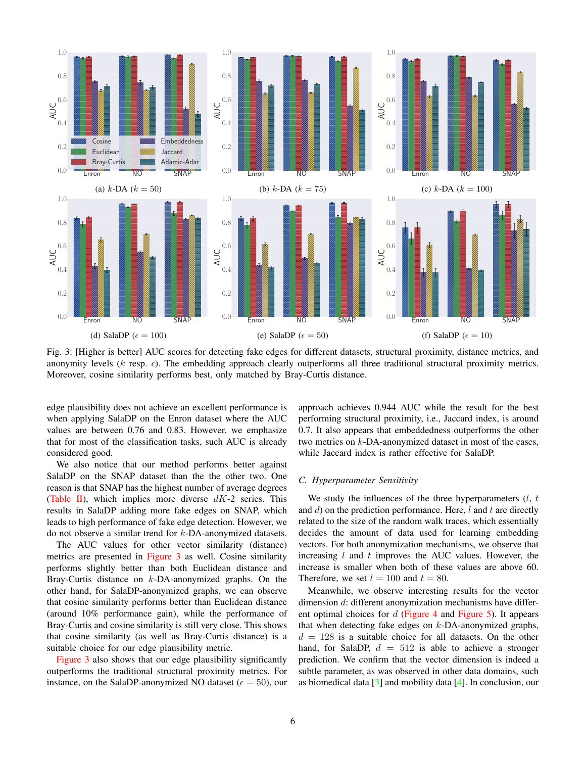<span id="page-5-2"></span><span id="page-5-1"></span>

Fig. 3: [Higher is better] AUC scores for detecting fake edges for different datasets, structural proximity, distance metrics, and anonymity levels (k resp.  $\epsilon$ ). The embedding approach clearly outperforms all three traditional structural proximity metrics. Moreover, cosine similarity performs best, only matched by Bray-Curtis distance.

edge plausibility does not achieve an excellent performance is when applying SalaDP on the Enron dataset where the AUC values are between 0.76 and 0.83. However, we emphasize that for most of the classification tasks, such AUC is already considered good.

We also notice that our method performs better against SalaDP on the SNAP dataset than the the other two. One reason is that SNAP has the highest number of average degrees [\(Table II\)](#page-4-2), which implies more diverse  $dK-2$  series. This results in SalaDP adding more fake edges on SNAP, which leads to high performance of fake edge detection. However, we do not observe a similar trend for k-DA-anonymized datasets.

The AUC values for other vector similarity (distance) metrics are presented in [Figure 3](#page-5-1) as well. Cosine similarity performs slightly better than both Euclidean distance and Bray-Curtis distance on k-DA-anonymized graphs. On the other hand, for SalaDP-anonymized graphs, we can observe that cosine similarity performs better than Euclidean distance (around 10% performance gain), while the performance of Bray-Curtis and cosine similarity is still very close. This shows that cosine similarity (as well as Bray-Curtis distance) is a suitable choice for our edge plausibility metric.

[Figure 3](#page-5-1) also shows that our edge plausibility significantly outperforms the traditional structural proximity metrics. For instance, on the SalaDP-anonymized NO dataset ( $\epsilon = 50$ ), our approach achieves 0.944 AUC while the result for the best performing structural proximity, i.e., Jaccard index, is around 0.7. It also appears that embeddedness outperforms the other two metrics on k-DA-anonymized dataset in most of the cases, while Jaccard index is rather effective for SalaDP.

### <span id="page-5-0"></span>*C. Hyperparameter Sensitivity*

We study the influences of the three hyperparameters  $(l, t)$ and  $d$ ) on the prediction performance. Here,  $l$  and  $t$  are directly related to the size of the random walk traces, which essentially decides the amount of data used for learning embedding vectors. For both anonymization mechanisms, we observe that increasing  $l$  and  $t$  improves the AUC values. However, the increase is smaller when both of these values are above 60. Therefore, we set  $l = 100$  and  $t = 80$ .

Meanwhile, we observe interesting results for the vector dimension d: different anonymization mechanisms have different optimal choices for  $d$  [\(Figure 4](#page-6-0) and [Figure 5\)](#page-6-1). It appears that when detecting fake edges on  $k$ -DA-anonymized graphs,  $d = 128$  is a suitable choice for all datasets. On the other hand, for SalaDP,  $d = 512$  is able to achieve a stronger prediction. We confirm that the vector dimension is indeed a subtle parameter, as was observed in other data domains, such as biomedical data [\[3\]](#page-13-26) and mobility data [\[4\]](#page-13-4). In conclusion, our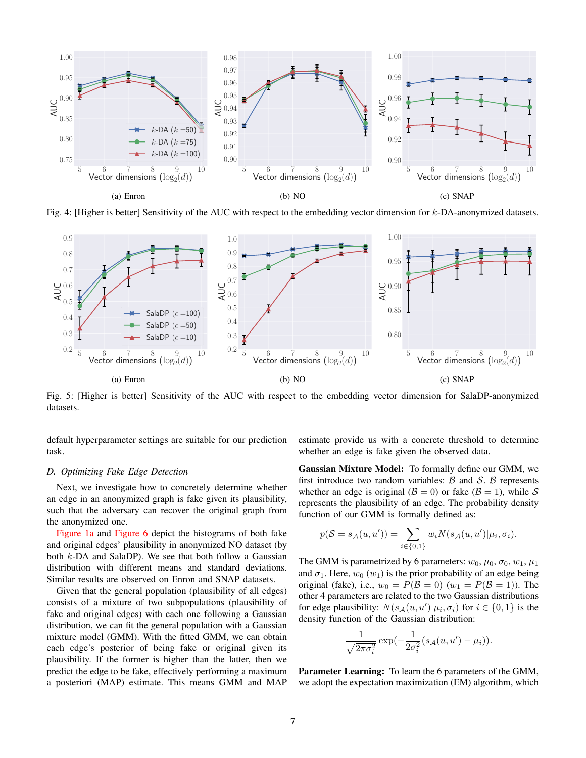<span id="page-6-0"></span>

Fig. 4: [Higher is better] Sensitivity of the AUC with respect to the embedding vector dimension for  $k$ -DA-anonymized datasets.

<span id="page-6-1"></span>

Fig. 5: [Higher is better] Sensitivity of the AUC with respect to the embedding vector dimension for SalaDP-anonymized datasets.

default hyperparameter settings are suitable for our prediction task.

# *D. Optimizing Fake Edge Detection*

Next, we investigate how to concretely determine whether an edge in an anonymized graph is fake given its plausibility, such that the adversary can recover the original graph from the anonymized one.

[Figure 1a](#page-1-0) and [Figure 6](#page-7-0) depict the histograms of both fake and original edges' plausibility in anonymized NO dataset (by both k-DA and SalaDP). We see that both follow a Gaussian distribution with different means and standard deviations. Similar results are observed on Enron and SNAP datasets.

Given that the general population (plausibility of all edges) consists of a mixture of two subpopulations (plausibility of fake and original edges) with each one following a Gaussian distribution, we can fit the general population with a Gaussian mixture model (GMM). With the fitted GMM, we can obtain each edge's posterior of being fake or original given its plausibility. If the former is higher than the latter, then we predict the edge to be fake, effectively performing a maximum a posteriori (MAP) estimate. This means GMM and MAP estimate provide us with a concrete threshold to determine whether an edge is fake given the observed data.

Gaussian Mixture Model: To formally define our GMM, we first introduce two random variables:  $\beta$  and  $\delta$ .  $\beta$  represents whether an edge is original ( $\mathcal{B} = 0$ ) or fake ( $\mathcal{B} = 1$ ), while S represents the plausibility of an edge. The probability density function of our GMM is formally defined as:

$$
p(S = s_{\mathcal{A}}(u, u')) = \sum_{i \in \{0, 1\}} w_i N(s_{\mathcal{A}}(u, u') | \mu_i, \sigma_i).
$$

The GMM is parametrized by 6 parameters:  $w_0$ ,  $\mu_0$ ,  $\sigma_0$ ,  $w_1$ ,  $\mu_1$ and  $\sigma_1$ . Here,  $w_0(w_1)$  is the prior probability of an edge being original (fake), i.e.,  $w_0 = P(\mathcal{B} = 0)$  ( $w_1 = P(\mathcal{B} = 1)$ ). The other 4 parameters are related to the two Gaussian distributions for edge plausibility:  $N(s_A(u, u') | \mu_i, \sigma_i)$  for  $i \in \{0, 1\}$  is the density function of the Gaussian distribution:

$$
\frac{1}{\sqrt{2\pi\sigma_i^2}}\exp(-\frac{1}{2\sigma_i^2}(s_{\mathcal{A}}(u,u')-\mu_i)).
$$

Parameter Learning: To learn the 6 parameters of the GMM, we adopt the expectation maximization (EM) algorithm, which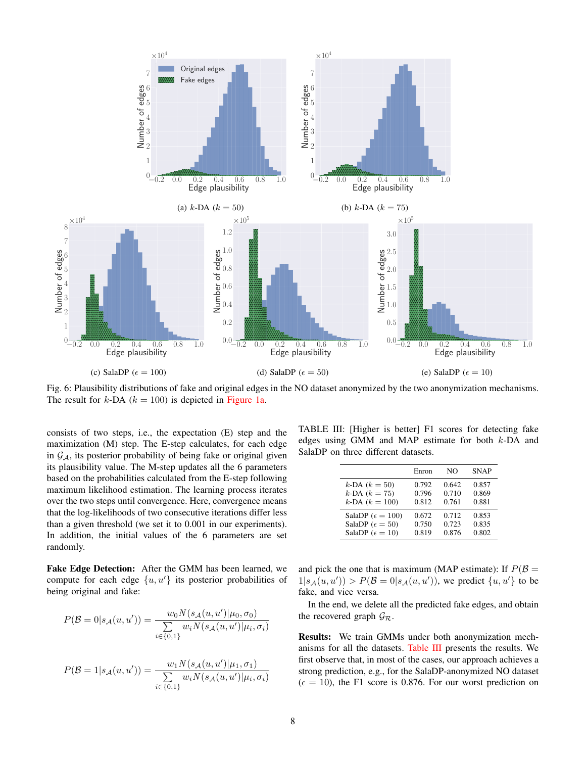<span id="page-7-0"></span>

Fig. 6: Plausibility distributions of fake and original edges in the NO dataset anonymized by the two anonymization mechanisms. The result for k-DA ( $k = 100$ ) is depicted in [Figure 1a.](#page-1-0)

consists of two steps, i.e., the expectation (E) step and the maximization (M) step. The E-step calculates, for each edge in  $\mathcal{G}_{\mathcal{A}}$ , its posterior probability of being fake or original given its plausibility value. The M-step updates all the 6 parameters based on the probabilities calculated from the E-step following maximum likelihood estimation. The learning process iterates over the two steps until convergence. Here, convergence means that the log-likelihoods of two consecutive iterations differ less than a given threshold (we set it to 0.001 in our experiments). In addition, the initial values of the 6 parameters are set randomly.

Fake Edge Detection: After the GMM has been learned, we compute for each edge  $\{u, u'\}$  its posterior probabilities of being original and fake:

$$
P(\mathcal{B} = 0 | s_{\mathcal{A}}(u, u')) = \frac{w_0 N(s_{\mathcal{A}}(u, u') | \mu_0, \sigma_0)}{\sum\limits_{i \in \{0, 1\}} w_i N(s_{\mathcal{A}}(u, u') | \mu_i, \sigma_i)}
$$

$$
P(\mathcal{B} = 1 | s_{\mathcal{A}}(u, u')) = \frac{w_1 N(s_{\mathcal{A}}(u, u') | \mu_1, \sigma_1)}{\sum\limits_{i \in \{0, 1\}} w_i N(s_{\mathcal{A}}(u, u') | \mu_i, \sigma_i)}
$$

<span id="page-7-1"></span>TABLE III: [Higher is better] F1 scores for detecting fake edges using GMM and MAP estimate for both k-DA and SalaDP on three different datasets.

|                             | Enron | NΟ    | <b>SNAP</b> |
|-----------------------------|-------|-------|-------------|
| $k$ -DA $(k = 50)$          | 0.792 | 0.642 | 0.857       |
| $k$ -DA $(k = 75)$          | 0.796 | 0.710 | 0.869       |
| $k$ -DA $(k = 100)$         | 0.812 | 0.761 | 0.881       |
| SalaDP ( $\epsilon = 100$ ) | 0.672 | 0.712 | 0.853       |
| SalaDP ( $\epsilon = 50$ )  | 0.750 | 0.723 | 0.835       |
| SalaDP ( $\epsilon = 10$ )  | 0.819 | 0.876 | 0.802       |

and pick the one that is maximum (MAP estimate): If  $P(\mathcal{B} =$  $1|s_{\mathcal{A}}(u, u')) > P(\mathcal{B} = 0|s_{\mathcal{A}}(u, u'))$ , we predict  $\{u, u'\}$  to be fake, and vice versa.

In the end, we delete all the predicted fake edges, and obtain the recovered graph  $\mathcal{G}_{\mathcal{R}}$ .

Results: We train GMMs under both anonymization mechanisms for all the datasets. [Table III](#page-7-1) presents the results. We first observe that, in most of the cases, our approach achieves a strong prediction, e.g., for the SalaDP-anonymized NO dataset  $(\epsilon = 10)$ , the F1 score is 0.876. For our worst prediction on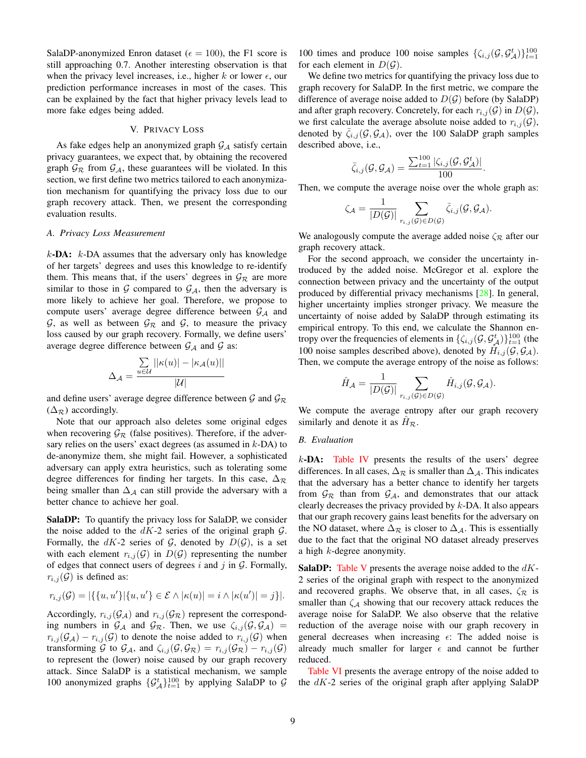<span id="page-8-1"></span>SalaDP-anonymized Enron dataset ( $\epsilon = 100$ ), the F1 score is still approaching 0.7. Another interesting observation is that when the privacy level increases, i.e., higher k or lower  $\epsilon$ , our prediction performance increases in most of the cases. This can be explained by the fact that higher privacy levels lead to more fake edges being added.

#### V. PRIVACY LOSS

<span id="page-8-0"></span>As fake edges help an anonymized graph  $G_A$  satisfy certain privacy guarantees, we expect that, by obtaining the recovered graph  $\mathcal{G}_{R}$  from  $\mathcal{G}_{A}$ , these guarantees will be violated. In this section, we first define two metrics tailored to each anonymization mechanism for quantifying the privacy loss due to our graph recovery attack. Then, we present the corresponding evaluation results.

# *A. Privacy Loss Measurement*

 $k$ -DA:  $k$ -DA assumes that the adversary only has knowledge of her targets' degrees and uses this knowledge to re-identify them. This means that, if the users' degrees in  $\mathcal{G}_R$  are more similar to those in  $G$  compared to  $G_A$ , then the adversary is more likely to achieve her goal. Therefore, we propose to compute users' average degree difference between  $G_A$  and  $G$ , as well as between  $G_R$  and  $G$ , to measure the privacy loss caused by our graph recovery. Formally, we define users' average degree difference between  $G_A$  and  $G$  as:

$$
\Delta_{\mathcal{A}} = \frac{\sum\limits_{u \in \mathcal{U}} ||\kappa(u)| - |\kappa_{\mathcal{A}}(u)||}{|\mathcal{U}|}
$$

and define users' average degree difference between  $\mathcal{G}$  and  $\mathcal{G}_{\mathcal{R}}$  $(\Delta_{\mathcal{R}})$  accordingly.

Note that our approach also deletes some original edges when recovering  $\mathcal{G}_{\mathcal{R}}$  (false positives). Therefore, if the adversary relies on the users' exact degrees (as assumed in  $k$ -DA) to de-anonymize them, she might fail. However, a sophisticated adversary can apply extra heuristics, such as tolerating some degree differences for finding her targets. In this case,  $\Delta_{\mathcal{R}}$ being smaller than  $\Delta_A$  can still provide the adversary with a better chance to achieve her goal.

SalaDP: To quantify the privacy loss for SalaDP, we consider the noise added to the  $dK-2$  series of the original graph  $G$ . Formally, the dK-2 series of  $G$ , denoted by  $D(G)$ , is a set with each element  $r_{i,j}(\mathcal{G})$  in  $D(\mathcal{G})$  representing the number of edges that connect users of degrees i and j in  $G$ . Formally,  $r_{i,j}(\mathcal{G})$  is defined as:

$$
r_{i,j}(\mathcal{G}) = |\{\{u, u'\}| \{u, u'\} \in \mathcal{E} \land |\kappa(u)| = i \land |\kappa(u')| = j\}|.
$$

Accordingly,  $r_{i,j}(\mathcal{G}_\mathcal{A})$  and  $r_{i,j}(\mathcal{G}_\mathcal{R})$  represent the corresponding numbers in  $\mathcal{G}_{\mathcal{A}}$  and  $\mathcal{G}_{\mathcal{R}}$ . Then, we use  $\zeta_{i,j}(\mathcal{G}, \mathcal{G}_{\mathcal{A}})$  =  $r_{i,j}(\mathcal{G}_\mathcal{A}) - r_{i,j}(\mathcal{G})$  to denote the noise added to  $r_{i,j}(\mathcal{G})$  when transforming G to  $\mathcal{G}_A$ , and  $\zeta_{i,j}(\mathcal{G}, \mathcal{G}_{\mathcal{R}}) = r_{i,j}(\mathcal{G}_{\mathcal{R}}) - r_{i,j}(\mathcal{G})$ to represent the (lower) noise caused by our graph recovery attack. Since SalaDP is a statistical mechanism, we sample 100 anonymized graphs  $\{\mathcal{G}_{\mathcal{A}}^{t}\}_{t=1}^{100}$  by applying SalaDP to  $\mathcal{G}$ 

100 times and produce 100 noise samples  $\{\zeta_{i,j}(\mathcal{G}, \mathcal{G}_{\mathcal{A}}^{t})\}_{t=1}^{100}$ for each element in  $D(G)$ .

We define two metrics for quantifying the privacy loss due to graph recovery for SalaDP. In the first metric, we compare the difference of average noise added to  $D(G)$  before (by SalaDP) and after graph recovery. Concretely, for each  $r_{i,j}(\mathcal{G})$  in  $D(\mathcal{G})$ , we first calculate the average absolute noise added to  $r_{i,j}(\mathcal{G})$ , denoted by  $\zeta_{i,j}(\mathcal{G}, \mathcal{G}_{\mathcal{A}})$ , over the 100 SalaDP graph samples described above, i.e.,

$$
\bar{\zeta}_{i,j}(\mathcal{G},\mathcal{G}_{\mathcal{A}}) = \frac{\sum_{t=1}^{100} |\zeta_{i,j}(\mathcal{G},\mathcal{G}_{\mathcal{A}}^{t})|}{100}.
$$

Then, we compute the average noise over the whole graph as:

$$
\zeta_{\mathcal{A}} = \frac{1}{|D(\mathcal{G})|} \sum_{r_{i,j}(\mathcal{G}) \in D(\mathcal{G})} \bar{\zeta}_{i,j}(\mathcal{G}, \mathcal{G}_{\mathcal{A}}).
$$

We analogously compute the average added noise  $\zeta_{\mathcal{R}}$  after our graph recovery attack.

For the second approach, we consider the uncertainty introduced by the added noise. McGregor et al. explore the connection between privacy and the uncertainty of the output produced by differential privacy mechanisms [\[28\]](#page-13-27). In general, higher uncertainty implies stronger privacy. We measure the uncertainty of noise added by SalaDP through estimating its empirical entropy. To this end, we calculate the Shannon entropy over the frequencies of elements in  $\{\zeta_{i,j}(\mathcal{G}, \mathcal{G}_{\mathcal{A}}^{t})\}_{t=1}^{100}$  (the 100 noise samples described above), denoted by  $\hat{H}_{i,j}(\mathcal{G}, \mathcal{G}_{\mathcal{A}})$ . Then, we compute the average entropy of the noise as follows:

$$
\hat{H}_{\mathcal{A}} = \frac{1}{|D(\mathcal{G})|} \sum_{r_{i,j}(\mathcal{G}) \in D(\mathcal{G})} \hat{H}_{i,j}(\mathcal{G}, \mathcal{G}_{\mathcal{A}}).
$$

We compute the average entropy after our graph recovery similarly and denote it as  $\hat{H}_{\mathcal{R}}$ .

#### *B. Evaluation*

 $k$ -DA: [Table IV](#page-9-1) presents the results of the users' degree differences. In all cases,  $\Delta_{\mathcal{R}}$  is smaller than  $\Delta_{\mathcal{A}}$ . This indicates that the adversary has a better chance to identify her targets from  $\mathcal{G}_{R}$  than from  $\mathcal{G}_{A}$ , and demonstrates that our attack clearly decreases the privacy provided by  $k$ -DA. It also appears that our graph recovery gains least benefits for the adversary on the NO dataset, where  $\Delta_{\mathcal{R}}$  is closer to  $\Delta_{\mathcal{A}}$ . This is essentially due to the fact that the original NO dataset already preserves a high  $k$ -degree anonymity.

**SalaDP:** [Table V](#page-9-2) presents the average noise added to the  $dK$ -2 series of the original graph with respect to the anonymized and recovered graphs. We observe that, in all cases,  $\zeta_{\mathcal{R}}$  is smaller than  $\zeta_A$  showing that our recovery attack reduces the average noise for SalaDP. We also observe that the relative reduction of the average noise with our graph recovery in general decreases when increasing  $\epsilon$ : The added noise is already much smaller for larger  $\epsilon$  and cannot be further reduced.

[Table VI](#page-9-3) presents the average entropy of the noise added to the  $dK-2$  series of the original graph after applying SalaDP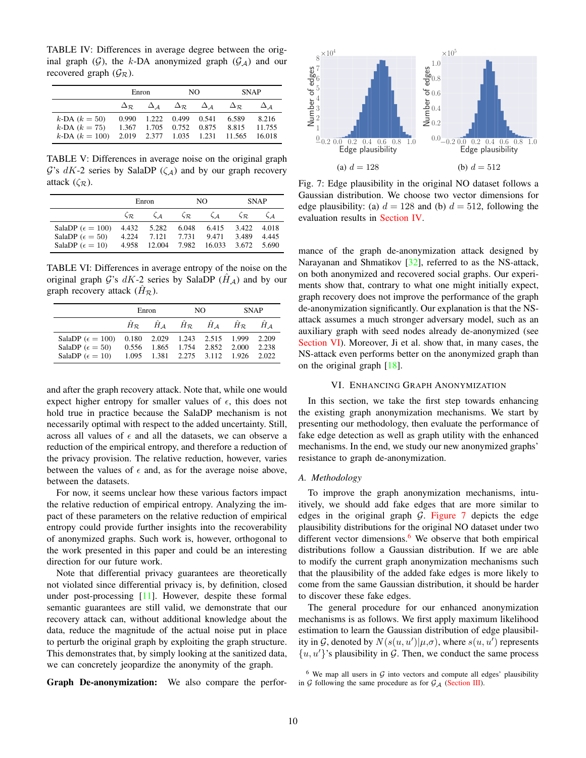<span id="page-9-6"></span><span id="page-9-1"></span>TABLE IV: Differences in average degree between the original graph  $(G)$ , the k-DA anonymized graph  $(G_A)$  and our recovered graph  $(\mathcal{G}_{\mathcal{R}})$ .

|                                           | Enron |                                                                                             | NO. |  | <b>SNAP</b>                             |                  |
|-------------------------------------------|-------|---------------------------------------------------------------------------------------------|-----|--|-----------------------------------------|------------------|
|                                           |       | $\Delta_{\mathcal{R}}$ $\Delta_{\mathcal{A}}$ $\Delta_{\mathcal{R}}$ $\Delta_{\mathcal{A}}$ |     |  | $\Delta_{\mathcal{P}}$                  | $\Delta$ 4       |
| $k$ -DA $(k = 50)$                        |       | $0.990$ $1.222$ $0.499$ $0.541$                                                             |     |  | 6.589                                   | 8.216            |
| $k$ -DA $(k = 75)$<br>$k$ -DA $(k = 100)$ |       | 1.367 1.705 0.752 0.875                                                                     |     |  | 8.815<br>2.019 2.377 1.035 1.231 11.565 | 11.755<br>16.018 |

<span id="page-9-2"></span>TABLE V: Differences in average noise on the original graph  $\mathcal{G}$ 's  $dK$ -2 series by SalaDP ( $\zeta_{\mathcal{A}}$ ) and by our graph recovery attack  $(\zeta_{\mathcal{R}})$ .

|                             | Enron                 |                             | NO.                   |           | <b>SNAP</b>           |       |
|-----------------------------|-----------------------|-----------------------------|-----------------------|-----------|-----------------------|-------|
|                             | $\zeta_{\mathcal{R}}$ | $\mathcal{L}$ $\mathcal{L}$ | $\zeta_{\mathcal{R}}$ | $\zeta_A$ | $\zeta_{\mathcal{R}}$ |       |
| SalaDP ( $\epsilon = 100$ ) | 4.432                 | 5.282                       | 6.048                 | 6.415     | 3.422                 | 4.018 |
| SalaDP ( $\epsilon = 50$ )  | 4.224                 | 7.121                       | 7.731                 | 9.471     | 3.489                 | 4.445 |
| SalaDP $(\epsilon = 10)$    | 4.958                 | 12.004                      | 7.982                 | 16.033    | 3.672                 | 5.690 |

<span id="page-9-3"></span>TABLE VI: Differences in average entropy of the noise on the original graph G's  $dK-2$  series by SalaDP  $(H_A)$  and by our graph recovery attack  $(H_{\mathcal{R}})$ .

|                                                                                         | Enron |  | NO.                                                                                             |  | <b>SNAP</b> |                |
|-----------------------------------------------------------------------------------------|-------|--|-------------------------------------------------------------------------------------------------|--|-------------|----------------|
|                                                                                         |       |  | $H_R$ $H_A$ $H_R$ $H_A$ $H_R$                                                                   |  |             | $H$ A          |
| SalaDP ( $\epsilon = 100$ )<br>SalaDP ( $\epsilon = 50$ )<br>SalaDP ( $\epsilon = 10$ ) | 0.556 |  | 0.180 2.029 1.243 2.515 1.999<br>1.865 1.754 2.852 2.000<br>1.095 1.381 2.275 3.112 1.926 2.022 |  |             | 2.209<br>2.238 |

and after the graph recovery attack. Note that, while one would expect higher entropy for smaller values of  $\epsilon$ , this does not hold true in practice because the SalaDP mechanism is not necessarily optimal with respect to the added uncertainty. Still, across all values of  $\epsilon$  and all the datasets, we can observe a reduction of the empirical entropy, and therefore a reduction of the privacy provision. The relative reduction, however, varies between the values of  $\epsilon$  and, as for the average noise above, between the datasets.

For now, it seems unclear how these various factors impact the relative reduction of empirical entropy. Analyzing the impact of these parameters on the relative reduction of empirical entropy could provide further insights into the recoverability of anonymized graphs. Such work is, however, orthogonal to the work presented in this paper and could be an interesting direction for our future work.

Note that differential privacy guarantees are theoretically not violated since differential privacy is, by definition, closed under post-processing [\[11\]](#page-13-10). However, despite these formal semantic guarantees are still valid, we demonstrate that our recovery attack can, without additional knowledge about the data, reduce the magnitude of the actual noise put in place to perturb the original graph by exploiting the graph structure. This demonstrates that, by simply looking at the sanitized data, we can concretely jeopardize the anonymity of the graph.

Graph De-anonymization: We also compare the perfor-

<span id="page-9-4"></span>

Fig. 7: Edge plausibility in the original NO dataset follows a Gaussian distribution. We choose two vector dimensions for edge plausibility: (a)  $d = 128$  and (b)  $d = 512$ , following the evaluation results in [Section IV.](#page-4-0)

mance of the graph de-anonymization attack designed by Narayanan and Shmatikov [\[32\]](#page-13-15), referred to as the NS-attack, on both anonymized and recovered social graphs. Our experiments show that, contrary to what one might initially expect, graph recovery does not improve the performance of the graph de-anonymization significantly. Our explanation is that the NSattack assumes a much stronger adversary model, such as an auxiliary graph with seed nodes already de-anonymized (see [Section VI\)](#page-9-0). Moreover, Ji et al. show that, in many cases, the NS-attack even performs better on the anonymized graph than on the original graph  $[18]$ .

# VI. ENHANCING GRAPH ANONYMIZATION

<span id="page-9-0"></span>In this section, we take the first step towards enhancing the existing graph anonymization mechanisms. We start by presenting our methodology, then evaluate the performance of fake edge detection as well as graph utility with the enhanced mechanisms. In the end, we study our new anonymized graphs' resistance to graph de-anonymization.

#### *A. Methodology*

To improve the graph anonymization mechanisms, intuitively, we should add fake edges that are more similar to edges in the original graph  $G$ . [Figure 7](#page-9-4) depicts the edge plausibility distributions for the original NO dataset under two different vector dimensions. $6$  We observe that both empirical distributions follow a Gaussian distribution. If we are able to modify the current graph anonymization mechanisms such that the plausibility of the added fake edges is more likely to come from the same Gaussian distribution, it should be harder to discover these fake edges.

The general procedure for our enhanced anonymization mechanisms is as follows. We first apply maximum likelihood estimation to learn the Gaussian distribution of edge plausibility in  $\mathcal{G}$ , denoted by  $N(s(u, u') | \mu, \sigma)$ , where  $s(u, u')$  represents  $\{u, u'\}$ 's plausibility in G. Then, we conduct the same process

<span id="page-9-5"></span> $6$  We map all users in  $G$  into vectors and compute all edges' plausibility in  $G$  following the same procedure as for  $G_A$  [\(Section III\)](#page-3-0).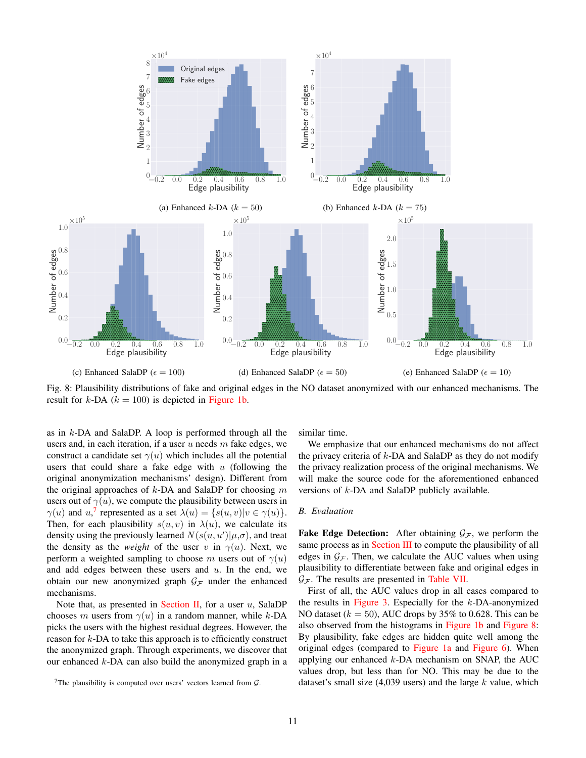<span id="page-10-1"></span>

Fig. 8: Plausibility distributions of fake and original edges in the NO dataset anonymized with our enhanced mechanisms. The result for  $k$ -DA ( $k = 100$ ) is depicted in [Figure 1b.](#page-1-0)

as in k-DA and SalaDP. A loop is performed through all the users and, in each iteration, if a user  $u$  needs  $m$  fake edges, we construct a candidate set  $\gamma(u)$  which includes all the potential users that could share a fake edge with  $u$  (following the original anonymization mechanisms' design). Different from the original approaches of  $k$ -DA and SalaDP for choosing m users out of  $\gamma(u)$ , we compute the plausibility between users in  $\gamma(u)$  and  $u$ ,<sup>[7](#page-10-0)</sup> represented as a set  $\lambda(u) = \{s(u, v)|v \in \gamma(u)\}.$ Then, for each plausibility  $s(u, v)$  in  $\lambda(u)$ , we calculate its density using the previously learned  $N(s(u, u') | \mu, \sigma)$ , and treat the density as the *weight* of the user v in  $\gamma(u)$ . Next, we perform a weighted sampling to choose m users out of  $\gamma(u)$ and add edges between these users and  $u$ . In the end, we obtain our new anonymized graph  $\mathcal{G}_\mathcal{F}$  under the enhanced mechanisms.

Note that, as presented in [Section II,](#page-2-0) for a user  $u$ , SalaDP chooses m users from  $\gamma(u)$  in a random manner, while k-DA picks the users with the highest residual degrees. However, the reason for k-DA to take this approach is to efficiently construct the anonymized graph. Through experiments, we discover that our enhanced  $k$ -DA can also build the anonymized graph in a similar time.

We emphasize that our enhanced mechanisms do not affect the privacy criteria of  $k$ -DA and SalaDP as they do not modify the privacy realization process of the original mechanisms. We will make the source code for the aforementioned enhanced versions of k-DA and SalaDP publicly available.

# *B. Evaluation*

**Fake Edge Detection:** After obtaining  $\mathcal{G}_\mathcal{F}$ , we perform the same process as in [Section III](#page-3-0) to compute the plausibility of all edges in  $G_F$ . Then, we calculate the AUC values when using plausibility to differentiate between fake and original edges in  $G_{\mathcal{F}}$ . The results are presented in [Table VII.](#page-11-0)

First of all, the AUC values drop in all cases compared to the results in [Figure 3.](#page-5-1) Especially for the  $k$ -DA-anonymized NO dataset ( $k = 50$ ), AUC drops by 35% to 0.628. This can be also observed from the histograms in [Figure 1b](#page-1-0) and [Figure 8:](#page-10-1) By plausibility, fake edges are hidden quite well among the original edges (compared to [Figure 1a](#page-1-0) and [Figure 6\)](#page-7-0). When applying our enhanced  $k$ -DA mechanism on SNAP, the AUC values drop, but less than for NO. This may be due to the dataset's small size  $(4,039 \text{ users})$  and the large k value, which

<span id="page-10-0"></span><sup>&</sup>lt;sup>7</sup>The plausibility is computed over users' vectors learned from  $\mathcal{G}$ .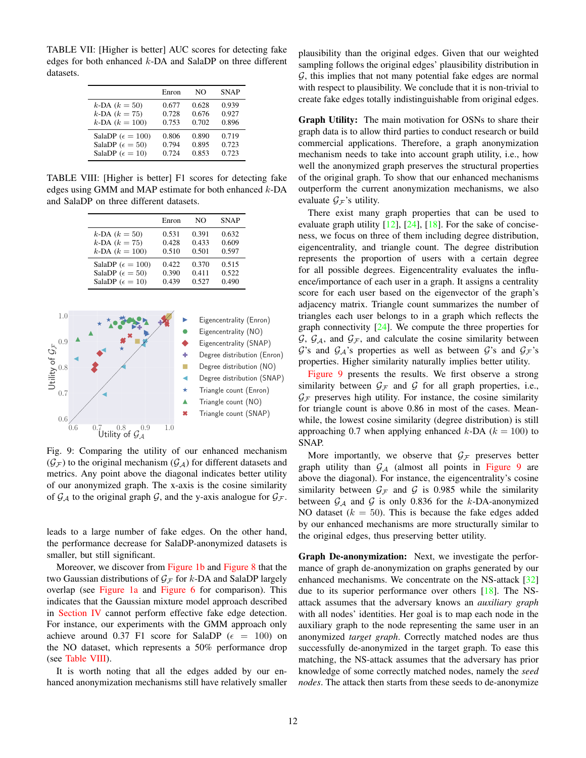<span id="page-11-3"></span><span id="page-11-0"></span>TABLE VII: [Higher is better] AUC scores for detecting fake edges for both enhanced k-DA and SalaDP on three different datasets.

|                             | Enron | NΟ    | <b>SNAP</b> |
|-----------------------------|-------|-------|-------------|
| $k$ -DA $(k = 50)$          | 0.677 | 0.628 | 0.939       |
| $k$ -DA $(k = 75)$          | 0.728 | 0.676 | 0.927       |
| $k$ -DA $(k = 100)$         | 0.753 | 0.702 | 0.896       |
| SalaDP ( $\epsilon = 100$ ) | 0.806 | 0.890 | 0.719       |
| SalaDP ( $\epsilon = 50$ )  | 0.794 | 0.895 | 0.723       |
| SalaDP ( $\epsilon = 10$ )  | 0.724 | 0.853 | 0.723       |

<span id="page-11-1"></span>TABLE VIII: [Higher is better] F1 scores for detecting fake edges using GMM and MAP estimate for both enhanced  $k$ -DA and SalaDP on three different datasets.

|                             | Enron | NO    | <b>SNAP</b> |
|-----------------------------|-------|-------|-------------|
| $k$ -DA $(k = 50)$          | 0.531 | 0.391 | 0.632       |
| $k$ -DA $(k = 75)$          | 0.428 | 0.433 | 0.609       |
| $k$ -DA $(k = 100)$         | 0.510 | 0.501 | 0.597       |
| SalaDP ( $\epsilon = 100$ ) | 0.422 | 0.370 | 0.515       |
| SalaDP ( $\epsilon = 50$ )  | 0.390 | 0.411 | 0.522       |
| SalaDP ( $\epsilon = 10$ )  | 0.439 | 0.527 | 0.490       |

<span id="page-11-2"></span>

Fig. 9: Comparing the utility of our enhanced mechanism  $(\mathcal{G}_{\mathcal{F}})$  to the original mechanism  $(\mathcal{G}_{\mathcal{A}})$  for different datasets and metrics. Any point above the diagonal indicates better utility of our anonymized graph. The x-axis is the cosine similarity of  $\mathcal{G}_{\mathcal{A}}$  to the original graph  $\mathcal{G}$ , and the y-axis analogue for  $\mathcal{G}_{\mathcal{F}}$ .

leads to a large number of fake edges. On the other hand, the performance decrease for SalaDP-anonymized datasets is smaller, but still significant.

Moreover, we discover from [Figure 1b](#page-1-0) and [Figure 8](#page-10-1) that the two Gaussian distributions of  $\mathcal{G}_\mathcal{F}$  for k-DA and SalaDP largely overlap (see [Figure 1a](#page-1-0) and [Figure 6](#page-7-0) for comparison). This indicates that the Gaussian mixture model approach described in [Section IV](#page-4-0) cannot perform effective fake edge detection. For instance, our experiments with the GMM approach only achieve around 0.37 F1 score for SalaDP ( $\epsilon = 100$ ) on the NO dataset, which represents a 50% performance drop (see [Table VIII\)](#page-11-1).

It is worth noting that all the edges added by our enhanced anonymization mechanisms still have relatively smaller plausibility than the original edges. Given that our weighted sampling follows the original edges' plausibility distribution in  $G$ , this implies that not many potential fake edges are normal with respect to plausibility. We conclude that it is non-trivial to create fake edges totally indistinguishable from original edges.

Graph Utility: The main motivation for OSNs to share their graph data is to allow third parties to conduct research or build commercial applications. Therefore, a graph anonymization mechanism needs to take into account graph utility, i.e., how well the anonymized graph preserves the structural properties of the original graph. To show that our enhanced mechanisms outperform the current anonymization mechanisms, we also evaluate  $G_F$ 's utility.

There exist many graph properties that can be used to evaluate graph utility  $[12]$ ,  $[24]$ ,  $[18]$ . For the sake of conciseness, we focus on three of them including degree distribution, eigencentrality, and triangle count. The degree distribution represents the proportion of users with a certain degree for all possible degrees. Eigencentrality evaluates the influence/importance of each user in a graph. It assigns a centrality score for each user based on the eigenvector of the graph's adjacency matrix. Triangle count summarizes the number of triangles each user belongs to in a graph which reflects the graph connectivity [\[24\]](#page-13-29). We compute the three properties for  $G, G_A$ , and  $G_F$ , and calculate the cosine similarity between G's and  $\mathcal{G}_A$ 's properties as well as between G's and  $\mathcal{G}_F$ 's properties. Higher similarity naturally implies better utility.

[Figure 9](#page-11-2) presents the results. We first observe a strong similarity between  $\mathcal{G}_{\mathcal{F}}$  and  $\mathcal{G}$  for all graph properties, i.e.,  $\mathcal{G}_{\mathcal{F}}$  preserves high utility. For instance, the cosine similarity for triangle count is above 0.86 in most of the cases. Meanwhile, the lowest cosine similarity (degree distribution) is still approaching 0.7 when applying enhanced k-DA ( $k = 100$ ) to SNAP.

More importantly, we observe that  $\mathcal{G}_\mathcal{F}$  preserves better graph utility than  $G_A$  (almost all points in [Figure 9](#page-11-2) are above the diagonal). For instance, the eigencentrality's cosine similarity between  $G_F$  and G is 0.985 while the similarity between  $G_A$  and G is only 0.836 for the k-DA-anonymized NO dataset ( $k = 50$ ). This is because the fake edges added by our enhanced mechanisms are more structurally similar to the original edges, thus preserving better utility.

Graph De-anonymization: Next, we investigate the performance of graph de-anonymization on graphs generated by our enhanced mechanisms. We concentrate on the NS-attack [\[32\]](#page-13-15) due to its superior performance over others [\[18\]](#page-13-14). The NSattack assumes that the adversary knows an *auxiliary graph* with all nodes' identities. Her goal is to map each node in the auxiliary graph to the node representing the same user in an anonymized *target graph*. Correctly matched nodes are thus successfully de-anonymized in the target graph. To ease this matching, the NS-attack assumes that the adversary has prior knowledge of some correctly matched nodes, namely the *seed nodes*. The attack then starts from these seeds to de-anonymize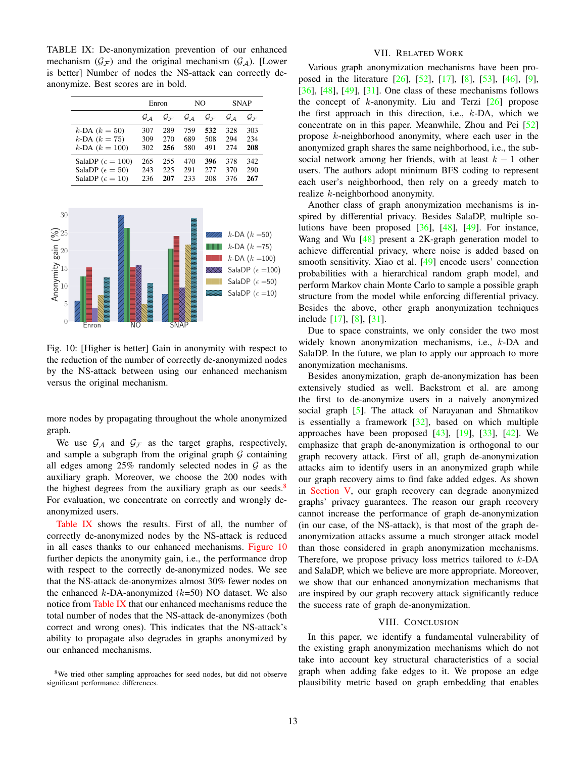<span id="page-12-5"></span><span id="page-12-3"></span>TABLE IX: De-anonymization prevention of our enhanced mechanism  $(\mathcal{G}_{\mathcal{F}})$  and the original mechanism  $(\mathcal{G}_{\mathcal{A}})$ . [Lower is better] Number of nodes the NS-attack can correctly deanonymize. Best scores are in bold.

|                             | Enron |                   | NO    |                   | <b>SNAP</b> |            |
|-----------------------------|-------|-------------------|-------|-------------------|-------------|------------|
|                             | $G_A$ | $G_{\mathcal{F}}$ | $G_A$ | $G_{\mathcal{F}}$ | $G_A$       | $g_{\tau}$ |
| $k$ -DA $(k = 50)$          | 307   | 289               | 759   | 532               | 328         | 303        |
| $k$ -DA $(k = 75)$          | 309   | 270               | 689   | 508               | 294         | 234        |
| $k$ -DA $(k = 100)$         | 302   | 256               | 580   | 491               | 274         | 208        |
| SalaDP ( $\epsilon = 100$ ) | 265   | 255               | 470   | 396               | 378         | 342        |
| SalaDP ( $\epsilon = 50$ )  | 243   | 225               | 291   | 2.77              | 370         | 290        |
| SalaDP ( $\epsilon = 10$ )  | 236   | 207               | 233   | 208               | 376         | 267        |

<span id="page-12-4"></span>

Fig. 10: [Higher is better] Gain in anonymity with respect to the reduction of the number of correctly de-anonymized nodes by the NS-attack between using our enhanced mechanism versus the original mechanism.

more nodes by propagating throughout the whole anonymized graph.

We use  $\mathcal{G}_A$  and  $\mathcal{G}_F$  as the target graphs, respectively, and sample a subgraph from the original graph  $G$  containing all edges among  $25\%$  randomly selected nodes in  $G$  as the auxiliary graph. Moreover, we choose the 200 nodes with the highest degrees from the auxiliary graph as our seeds.<sup>[8](#page-12-2)</sup> For evaluation, we concentrate on correctly and wrongly deanonymized users.

[Table IX](#page-12-3) shows the results. First of all, the number of correctly de-anonymized nodes by the NS-attack is reduced in all cases thanks to our enhanced mechanisms. [Figure 10](#page-12-4) further depicts the anonymity gain, i.e., the performance drop with respect to the correctly de-anonymized nodes. We see that the NS-attack de-anonymizes almost 30% fewer nodes on the enhanced  $k$ -DA-anonymized ( $k$ =50) NO dataset. We also notice from [Table IX](#page-12-3) that our enhanced mechanisms reduce the total number of nodes that the NS-attack de-anonymizes (both correct and wrong ones). This indicates that the NS-attack's ability to propagate also degrades in graphs anonymized by our enhanced mechanisms.

# VII. RELATED WORK

<span id="page-12-0"></span>Various graph anonymization mechanisms have been proposed in the literature [\[26\]](#page-13-7), [\[52\]](#page-14-7), [\[17\]](#page-13-30), [\[8\]](#page-13-31), [\[53\]](#page-14-12), [\[46\]](#page-14-13), [\[9\]](#page-13-32), [\[36\]](#page-14-14),  $[48]$ ,  $[49]$ ,  $[31]$ . One class of these mechanisms follows the concept of  $k$ -anonymity. Liu and Terzi  $[26]$  propose the first approach in this direction, i.e.,  $k$ -DA, which we concentrate on in this paper. Meanwhile, Zhou and Pei [\[52\]](#page-14-7) propose k-neighborhood anonymity, where each user in the anonymized graph shares the same neighborhood, i.e., the subsocial network among her friends, with at least  $k - 1$  other users. The authors adopt minimum BFS coding to represent each user's neighborhood, then rely on a greedy match to realize k-neighborhood anonymity.

Another class of graph anonymization mechanisms is inspired by differential privacy. Besides SalaDP, multiple solutions have been proposed [\[36\]](#page-14-14), [\[48\]](#page-14-15), [\[49\]](#page-14-4). For instance, Wang and Wu  $[48]$  present a 2K-graph generation model to achieve differential privacy, where noise is added based on smooth sensitivity. Xiao et al. [\[49\]](#page-14-4) encode users' connection probabilities with a hierarchical random graph model, and perform Markov chain Monte Carlo to sample a possible graph structure from the model while enforcing differential privacy. Besides the above, other graph anonymization techniques include [\[17\]](#page-13-30), [\[8\]](#page-13-31), [\[31\]](#page-13-8).

Due to space constraints, we only consider the two most widely known anonymization mechanisms, i.e., k-DA and SalaDP. In the future, we plan to apply our approach to more anonymization mechanisms.

Besides anonymization, graph de-anonymization has been extensively studied as well. Backstrom et al. are among the first to de-anonymize users in a naively anonymized social graph [\[5\]](#page-13-6). The attack of Narayanan and Shmatikov is essentially a framework  $[32]$ , based on which multiple approaches have been proposed  $[43]$ ,  $[19]$ ,  $[33]$ ,  $[42]$ . We emphasize that graph de-anonymization is orthogonal to our graph recovery attack. First of all, graph de-anonymization attacks aim to identify users in an anonymized graph while our graph recovery aims to find fake added edges. As shown in [Section V,](#page-8-0) our graph recovery can degrade anonymized graphs' privacy guarantees. The reason our graph recovery cannot increase the performance of graph de-anonymization (in our case, of the NS-attack), is that most of the graph deanonymization attacks assume a much stronger attack model than those considered in graph anonymization mechanisms. Therefore, we propose privacy loss metrics tailored to k-DA and SalaDP, which we believe are more appropriate. Moreover, we show that our enhanced anonymization mechanisms that are inspired by our graph recovery attack significantly reduce the success rate of graph de-anonymization.

#### VIII. CONCLUSION

<span id="page-12-1"></span>In this paper, we identify a fundamental vulnerability of the existing graph anonymization mechanisms which do not take into account key structural characteristics of a social graph when adding fake edges to it. We propose an edge plausibility metric based on graph embedding that enables

<span id="page-12-2"></span><sup>&</sup>lt;sup>8</sup>We tried other sampling approaches for seed nodes, but did not observe significant performance differences.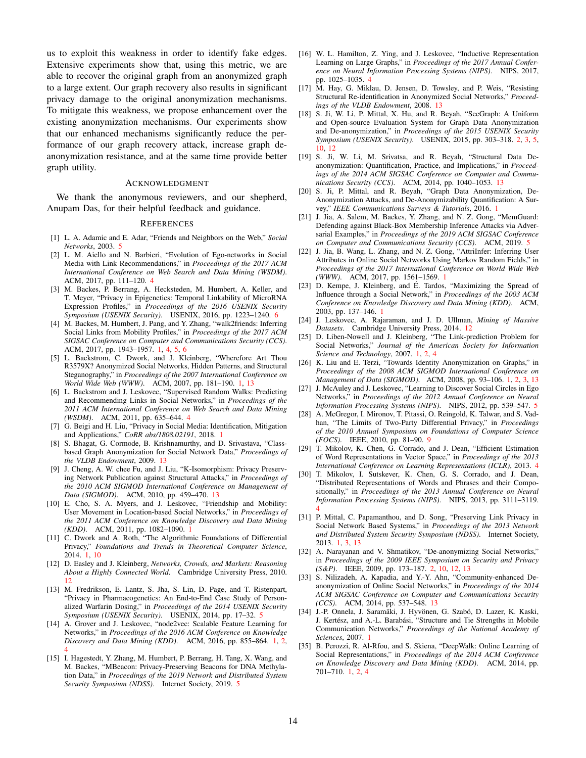us to exploit this weakness in order to identify fake edges. Extensive experiments show that, using this metric, we are able to recover the original graph from an anonymized graph to a large extent. Our graph recovery also results in significant privacy damage to the original anonymization mechanisms. To mitigate this weakness, we propose enhancement over the existing anonymization mechanisms. Our experiments show that our enhanced mechanisms significantly reduce the performance of our graph recovery attack, increase graph deanonymization resistance, and at the same time provide better graph utility.

#### ACKNOWLEDGMENT

We thank the anonymous reviewers, and our shepherd, Anupam Das, for their helpful feedback and guidance.

#### **REFERENCES**

- <span id="page-13-22"></span>[1] L. A. Adamic and E. Adar, "Friends and Neighbors on the Web," *Social Networks*, 2003. [5](#page-4-4)
- <span id="page-13-17"></span>[2] L. M. Aiello and N. Barbieri, "Evolution of Ego-networks in Social Media with Link Recommendations," in *Proceedings of the 2017 ACM International Conference on Web Search and Data Mining (WSDM)*. ACM, 2017, pp. 111–120. [4](#page-3-4)
- <span id="page-13-26"></span>[3] M. Backes, P. Berrang, A. Hecksteden, M. Humbert, A. Keller, and T. Meyer, "Privacy in Epigenetics: Temporal Linkability of MicroRNA Expression Profiles," in *Proceedings of the 2016 USENIX Security Symposium (USENIX Security)*. USENIX, 2016, pp. 1223–1240. [6](#page-5-2)
- <span id="page-13-4"></span>[4] M. Backes, M. Humbert, J. Pang, and Y. Zhang, "walk2friends: Inferring Social Links from Mobility Profiles," in *Proceedings of the 2017 ACM SIGSAC Conference on Computer and Communications Security (CCS)*. ACM, 2017, pp. 1943–1957. [1,](#page-0-0) [4,](#page-3-4) [5,](#page-4-4) [6](#page-5-2)
- <span id="page-13-6"></span>[5] L. Backstrom, C. Dwork, and J. Kleinberg, "Wherefore Art Thou R3579X? Anonymized Social Networks, Hidden Patterns, and Structural Steganography," in *Proceedings of the 2007 International Conference on World Wide Web (WWW)*. ACM, 2007, pp. 181–190. [1,](#page-0-0) [13](#page-12-5)
- <span id="page-13-16"></span>[6] L. Backstrom and J. Leskovec, "Supervised Random Walks: Predicting and Recommending Links in Social Networks," in *Proceedings of the 2011 ACM International Conference on Web Search and Data Mining (WSDM)*. ACM, 2011, pp. 635–644. [4](#page-3-4)
- <span id="page-13-3"></span>[7] G. Beigi and H. Liu, "Privacy in Social Media: Identification, Mitigation and Applications," *CoRR abs/1808.02191*, 2018. [1](#page-0-0)
- <span id="page-13-31"></span>[8] S. Bhagat, G. Cormode, B. Krishnamurthy, and D. Srivastava, "Classbased Graph Anonymization for Social Network Data," *Proceedings of the VLDB Endowment*, 2009. [13](#page-12-5)
- <span id="page-13-32"></span>[9] J. Cheng, A. W. chee Fu, and J. Liu, "K-Isomorphism: Privacy Preserving Network Publication against Structural Attacks," in *Proceedings of the 2010 ACM SIGMOD International Conference on Management of Data (SIGMOD)*. ACM, 2010, pp. 459–470. [13](#page-12-5)
- <span id="page-13-1"></span>[10] E. Cho, S. A. Myers, and J. Leskovec, "Friendship and Mobility: User Movement in Location-based Social Networks," in *Proceedings of the 2011 ACM Conference on Knowledge Discovery and Data Mining (KDD)*. ACM, 2011, pp. 1082–1090. [1](#page-0-0)
- <span id="page-13-10"></span>[11] C. Dwork and A. Roth, "The Algorithmic Foundations of Differential Privacy," *Foundations and Trends in Theoretical Computer Science*, 2014. [1,](#page-0-0) [10](#page-9-6)
- <span id="page-13-28"></span>[12] D. Easley and J. Kleinberg, *Networks, Crowds, and Markets: Reasoning About a Highly Connected World*. Cambridge University Press, 2010. [12](#page-11-3)
- <span id="page-13-24"></span>[13] M. Fredrikson, E. Lantz, S. Jha, S. Lin, D. Page, and T. Ristenpart, "Privacy in Pharmacogenetics: An End-to-End Case Study of Personalized Warfarin Dosing," in *Proceedings of the 2014 USENIX Security Symposium (USENIX Security)*. USENIX, 2014, pp. 17–32. [5](#page-4-4)
- <span id="page-13-13"></span>[14] A. Grover and J. Leskovec, "node2vec: Scalable Feature Learning for Networks," in *Proceedings of the 2016 ACM Conference on Knowledge Discovery and Data Mining (KDD).* ACM, 2016, pp. 855-864. [1,](#page-0-0) [4](#page-3-4)
- <span id="page-13-23"></span>[15] I. Hagestedt, Y. Zhang, M. Humbert, P. Berrang, H. Tang, X. Wang, and M. Backes, "MBeacon: Privacy-Preserving Beacons for DNA Methylation Data," in *Proceedings of the 2019 Network and Distributed System Security Symposium (NDSS)*. Internet Society, 2019. [5](#page-4-4)
- <span id="page-13-18"></span>[16] W. L. Hamilton, Z. Ying, and J. Leskovec, "Inductive Representation Learning on Large Graphs," in *Proceedings of the 2017 Annual Conference on Neural Information Processing Systems (NIPS)*. NIPS, 2017, pp. 1025–1035. [4](#page-3-4)
- <span id="page-13-30"></span>[17] M. Hay, G. Miklau, D. Jensen, D. Towsley, and P. Weis, "Resisting Structural Re-identification in Anonymized Social Networks," *Proceedings of the VLDB Endowment*, 2008. [13](#page-12-5)
- <span id="page-13-14"></span>[18] S. Ji, W. Li, P. Mittal, X. Hu, and R. Beyah, "SecGraph: A Uniform and Open-source Evaluation System for Graph Data Anonymization and De-anonymization," in *Proceedings of the 2015 USENIX Security Symposium (USENIX Security)*. USENIX, 2015, pp. 303–318. [2,](#page-1-1) [3,](#page-2-4) [5,](#page-4-4) [10,](#page-9-6) [12](#page-11-3)
- <span id="page-13-33"></span>[19] S. Ji, W. Li, M. Srivatsa, and R. Beyah, "Structural Data Deanonymization: Quantification, Practice, and Implications," in *Proceedings of the 2014 ACM SIGSAC Conference on Computer and Communications Security (CCS)*. ACM, 2014, pp. 1040–1053. [13](#page-12-5)
- <span id="page-13-9"></span>[20] S. Ji, P. Mittal, and R. Beyah, "Graph Data Anonymization, De-Anonymization Attacks, and De-Anonymizability Quantification: A Survey," *IEEE Communications Surveys & Tutorials*, 2016. [1](#page-0-0)
- <span id="page-13-25"></span>[21] J. Jia, A. Salem, M. Backes, Y. Zhang, and N. Z. Gong, "MemGuard: Defending against Black-Box Membership Inference Attacks via Adversarial Examples," in *Proceedings of the 2019 ACM SIGSAC Conference on Computer and Communications Security (CCS)*. ACM, 2019. [5](#page-4-4)
- <span id="page-13-5"></span>[22] J. Jia, B. Wang, L. Zhang, and N. Z. Gong, "AttriInfer: Inferring User Attributes in Online Social Networks Using Markov Random Fields," in *Proceedings of the 2017 International Conference on World Wide Web (WWW)*. ACM, 2017, pp. 1561–1569. [1](#page-0-0)
- <span id="page-13-2"></span>[23] D. Kempe, J. Kleinberg, and É. Tardos, "Maximizing the Spread of Influence through a Social Network," in *Proceedings of the 2003 ACM Conference on Knowledge Discovery and Data Mining (KDD)*. ACM, 2003, pp. 137–146. [1](#page-0-0)
- <span id="page-13-29"></span>[24] J. Leskovec, A. Rajaraman, and J. D. Ullman, *Mining of Massive Datasets*. Cambridge University Press, 2014. [12](#page-11-3)
- <span id="page-13-11"></span>[25] D. Liben-Nowell and J. Kleinberg, "The Link-prediction Problem for Social Networks," *Journal of the American Society for Information Science and Technology*, 2007. [1,](#page-0-0) [2,](#page-1-1) [4](#page-3-4)
- <span id="page-13-7"></span>[26] K. Liu and E. Terzi, "Towards Identity Anonymization on Graphs," in *Proceedings of the 2008 ACM SIGMOD International Conference on Management of Data (SIGMOD)*. ACM, 2008, pp. 93–106. [1,](#page-0-0) [2,](#page-1-1) [3,](#page-2-4) [13](#page-12-5)
- <span id="page-13-21"></span>[27] J. McAuley and J. Leskovec, "Learning to Discover Social Circles in Ego Networks," in *Proceedings of the 2012 Annual Conference on Neural Information Processing Systems (NIPS)*. NIPS, 2012, pp. 539–547. [5](#page-4-4)
- <span id="page-13-27"></span>[28] A. McGregor, I. Mironov, T. Pitassi, O. Reingold, K. Talwar, and S. Vadhan, "The Limits of Two-Party Differential Privacy," in *Proceedings of the 2010 Annual Symposium on Foundations of Computer Science (FOCS)*. IEEE, 2010, pp. 81–90. [9](#page-8-1)
- <span id="page-13-19"></span>[29] T. Mikolov, K. Chen, G. Corrado, and J. Dean, "Efficient Estimation of Word Representations in Vector Space," in *Proceedings of the 2013 International Conference on Learning Representations (ICLR)*, 2013. [4](#page-3-4)
- <span id="page-13-20"></span>[30] T. Mikolov, I. Sutskever, K. Chen, G. S. Corrado, and J. Dean, "Distributed Representations of Words and Phrases and their Compositionally," in *Proceedings of the 2013 Annual Conference on Neural Information Processing Systems (NIPS)*. NIPS, 2013, pp. 3111–3119. [4](#page-3-4)
- <span id="page-13-8"></span>[31] P. Mittal, C. Papamanthou, and D. Song, "Preserving Link Privacy in Social Network Based Systems," in *Proceedings of the 2013 Network and Distributed System Security Symposium (NDSS)*. Internet Society, 2013. [1,](#page-0-0) [3,](#page-2-4) [13](#page-12-5)
- <span id="page-13-15"></span>[32] A. Narayanan and V. Shmatikov, "De-anonymizing Social Networks," in *Proceedings of the 2009 IEEE Symposium on Security and Privacy (S&P)*. IEEE, 2009, pp. 173–187. [2,](#page-1-1) [10,](#page-9-6) [12,](#page-11-3) [13](#page-12-5)
- <span id="page-13-34"></span>[33] S. Nilizadeh, A. Kapadia, and Y.-Y. Ahn, "Community-enhanced Deanonymization of Online Social Networks," in *Proceedings of the 2014 ACM SIGSAC Conference on Computer and Communications Security (CCS)*. ACM, 2014, pp. 537–548. [13](#page-12-5)
- <span id="page-13-0"></span>[34] J.-P. Onnela, J. Saramäki, J. Hyvönen, G. Szabó, D. Lazer, K. Kaski, J. Kertész, and A.-L. Barabási, "Structure and Tie Strengths in Mobile Communication Networks," *Proceedings of the National Academy of Sciences*, 2007. [1](#page-0-0)
- <span id="page-13-12"></span>[35] B. Perozzi, R. Al-Rfou, and S. Skiena, "DeepWalk: Online Learning of Social Representations," in *Proceedings of the 2014 ACM Conference on Knowledge Discovery and Data Mining (KDD)*. ACM, 2014, pp. 701–710. [1,](#page-0-0) [2,](#page-1-1) [4](#page-3-4)